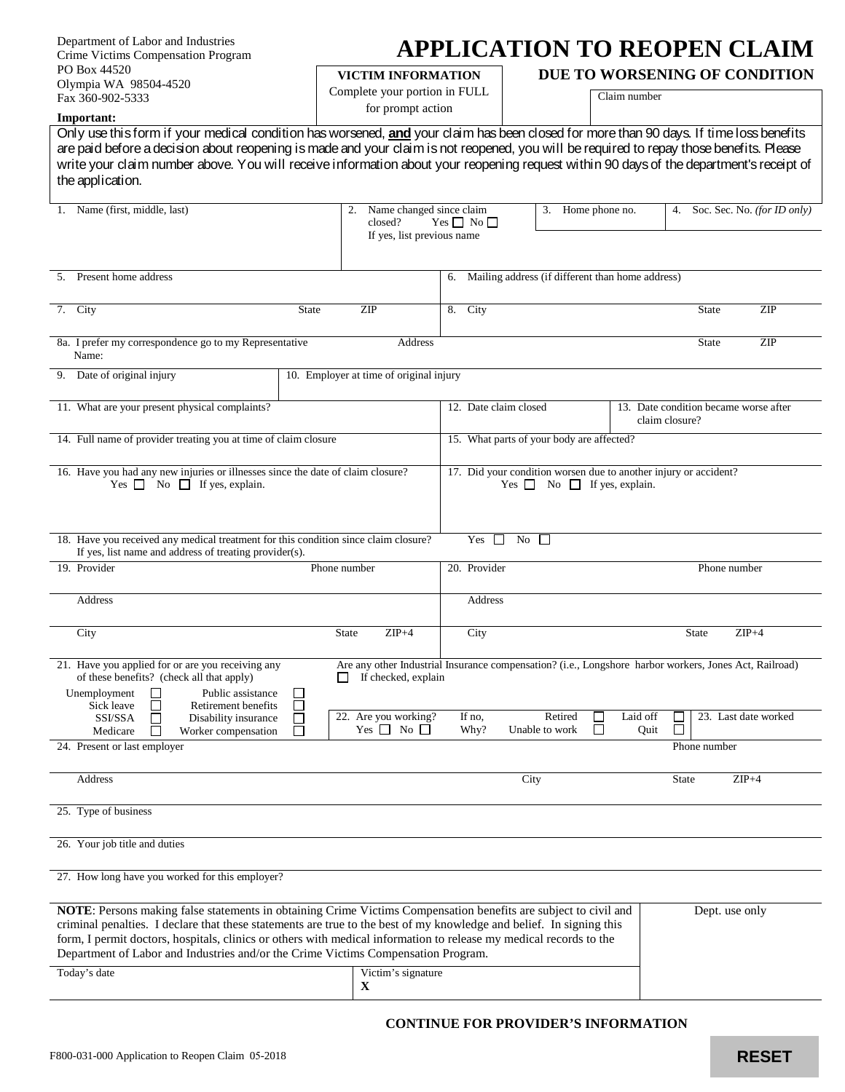| Department of Labor and Industries |
|------------------------------------|
| Crime Victims Compensation Program |
| PO Box 44520                       |
| Olympia WA 98504-4520              |
| Fax 360-902-5333                   |

## **APPLICATION TO REOPEN CLAIM**

**VICTIM INFORMATION**

Complete your portion in FULL for prompt action

**DUE TO WORSENING OF CONDITION**

Claim number

**Important:** Only use this form if your medical condition has worsened, **and** your claim has been closed for more than 90 days. If time loss benefits are paid before a decision about reopening is made and your claim is not reopened, you will be required to repay those benefits. Please write your claim number above. You will receive information about your reopening request within 90 days of the department's receipt of the application. 1. Name (first, middle, last) 2. Name changed since claim closed? Yes  $\Box$  No Yes  $\Box$  No  $\Box$ If yes, list previous name 3. Home phone no. 4. Soc. Sec. No. *(for ID only)* 5. Present home address 6. Mailing address (if different than home address) 7. City State State ZIP 8. City State ZIP 8a. I prefer my correspondence go to my Representative Name: Address State ZIP 9. Date of original injury 10. Employer at time of original injury 11. What are your present physical complaints? 12. Date claim closed 13. Date condition became worse after claim closure? 14. Full name of provider treating you at time of claim closure 15. What parts of your body are affected?

| 17. Did your condition worsen due to another injury or accident? |
|------------------------------------------------------------------|
| No I<br>$Yes \Gamma$<br>If yes, explain.                         |
|                                                                  |

|                                                                                                                                                             | 18. Have you received any medical treatment for this condition since claim closure?<br>If yes, list name and address of treating provider(s). |  |                      |                             | Yes<br>$\Box$ | No.<br>$\Box$        |              |                |              |          |              |                      |  |
|-------------------------------------------------------------------------------------------------------------------------------------------------------------|-----------------------------------------------------------------------------------------------------------------------------------------------|--|----------------------|-----------------------------|---------------|----------------------|--------------|----------------|--------------|----------|--------------|----------------------|--|
|                                                                                                                                                             |                                                                                                                                               |  |                      |                             |               |                      |              |                |              |          |              |                      |  |
|                                                                                                                                                             | 19. Provider                                                                                                                                  |  |                      |                             | Phone number  |                      | 20. Provider |                | Phone number |          |              |                      |  |
|                                                                                                                                                             |                                                                                                                                               |  |                      |                             |               |                      |              |                |              |          |              |                      |  |
|                                                                                                                                                             | Address                                                                                                                                       |  |                      |                             |               |                      | Address      |                |              |          |              |                      |  |
|                                                                                                                                                             |                                                                                                                                               |  |                      |                             |               |                      |              |                |              |          |              |                      |  |
|                                                                                                                                                             | City                                                                                                                                          |  |                      |                             | <b>State</b>  | $ZIP+4$              | City         |                |              |          | <b>State</b> | $ZIP+4$              |  |
|                                                                                                                                                             |                                                                                                                                               |  |                      |                             |               |                      |              |                |              |          |              |                      |  |
| 21. Have you applied for or are you receiving any<br>Are any other Industrial Insurance compensation? (i.e., Longshore harbor workers, Jones Act, Railroad) |                                                                                                                                               |  |                      |                             |               |                      |              |                |              |          |              |                      |  |
| of these benefits? (check all that apply)<br>If checked, explain                                                                                            |                                                                                                                                               |  |                      |                             |               |                      |              |                |              |          |              |                      |  |
|                                                                                                                                                             | Unemployment                                                                                                                                  |  | Public assistance    | $\mathcal{L}$               |               |                      |              |                |              |          |              |                      |  |
|                                                                                                                                                             | Sick leave                                                                                                                                    |  | Retirement benefits  | $\mathcal{L}_{\mathcal{A}}$ |               |                      |              |                |              |          |              |                      |  |
|                                                                                                                                                             | SSI/SSA                                                                                                                                       |  | Disability insurance |                             |               | 22. Are you working? | If no,       | Retired        |              | Laid off |              | 23. Last date worked |  |
|                                                                                                                                                             | Medicare                                                                                                                                      |  | Worker compensation  |                             |               | Yes $\Box$ No $\Box$ | Why?         | Unable to work |              | Quit     |              |                      |  |
| 24. Present or last employer                                                                                                                                |                                                                                                                                               |  |                      |                             |               |                      |              |                | Phone number |          |              |                      |  |

Address State ZIP+4

25. Type of business

26. Your job title and duties

27. How long have you worked for this employer?

| <b>NOTE:</b> Persons making false statements in obtaining Crime Victims Compensation benefits are subject to civil and<br>criminal penalties. I declare that these statements are true to the best of my knowledge and belief. In signing this<br>form, I permit doctors, hospitals, clinics or others with medical information to release my medical records to the<br>Department of Labor and Industries and/or the Crime Victims Compensation Program. |                    | Dept. use only |
|-----------------------------------------------------------------------------------------------------------------------------------------------------------------------------------------------------------------------------------------------------------------------------------------------------------------------------------------------------------------------------------------------------------------------------------------------------------|--------------------|----------------|
| Today's date                                                                                                                                                                                                                                                                                                                                                                                                                                              | Victim's signature |                |

## **CONTINUE FOR PROVIDER'S INFORMATION**